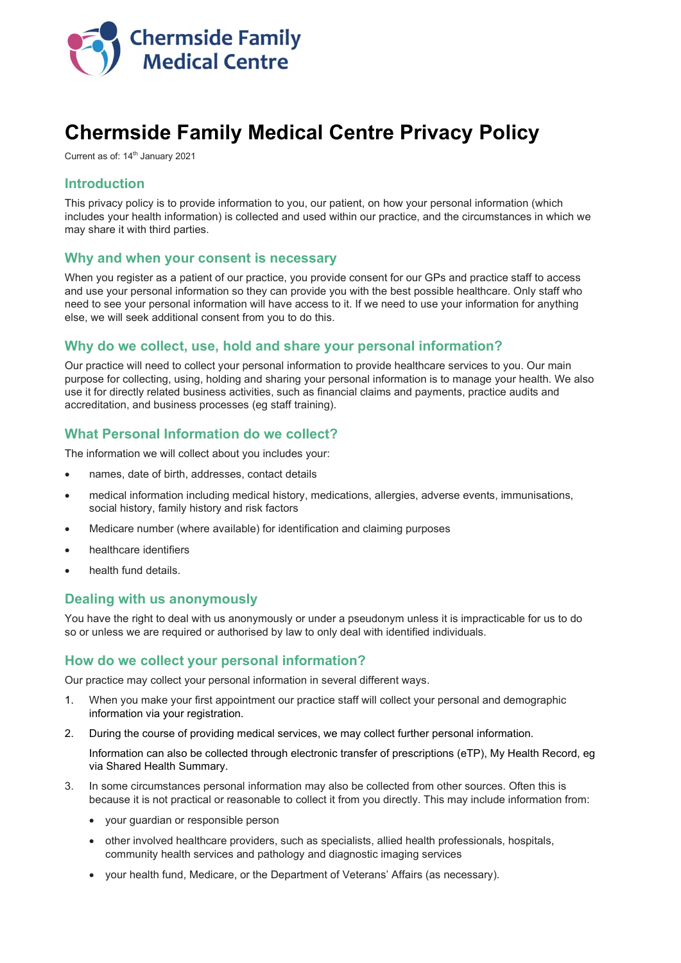

# Chermside Family Medical Centre Privacy Policy

Current as of: 14<sup>th</sup> January 2021

# Introduction

This privacy policy is to provide information to you, our patient, on how your personal information (which includes your health information) is collected and used within our practice, and the circumstances in which we may share it with third parties.

#### Why and when your consent is necessary

When you register as a patient of our practice, you provide consent for our GPs and practice staff to access and use your personal information so they can provide you with the best possible healthcare. Only staff who need to see your personal information will have access to it. If we need to use your information for anything else, we will seek additional consent from you to do this.

# Why do we collect, use, hold and share your personal information?

Our practice will need to collect your personal information to provide healthcare services to you. Our main purpose for collecting, using, holding and sharing your personal information is to manage your health. We also use it for directly related business activities, such as financial claims and payments, practice audits and accreditation, and business processes (eg staff training).

# What Personal Information do we collect?

The information we will collect about you includes your:

- names, date of birth, addresses, contact details
- medical information including medical history, medications, allergies, adverse events, immunisations, social history, family history and risk factors
- Medicare number (where available) for identification and claiming purposes
- healthcare identifiers
- health fund details.

### Dealing with us anonymously

You have the right to deal with us anonymously or under a pseudonym unless it is impracticable for us to do so or unless we are required or authorised by law to only deal with identified individuals.

### How do we collect your personal information?

Our practice may collect your personal information in several different ways.

- 1. When you make your first appointment our practice staff will collect your personal and demographic information via your registration.
- 2. During the course of providing medical services, we may collect further personal information.

Information can also be collected through electronic transfer of prescriptions (eTP), My Health Record, eg via Shared Health Summary.

- 3. In some circumstances personal information may also be collected from other sources. Often this is because it is not practical or reasonable to collect it from you directly. This may include information from:
	- your guardian or responsible person
	- other involved healthcare providers, such as specialists, allied health professionals, hospitals, community health services and pathology and diagnostic imaging services
	- your health fund, Medicare, or the Department of Veterans' Affairs (as necessary).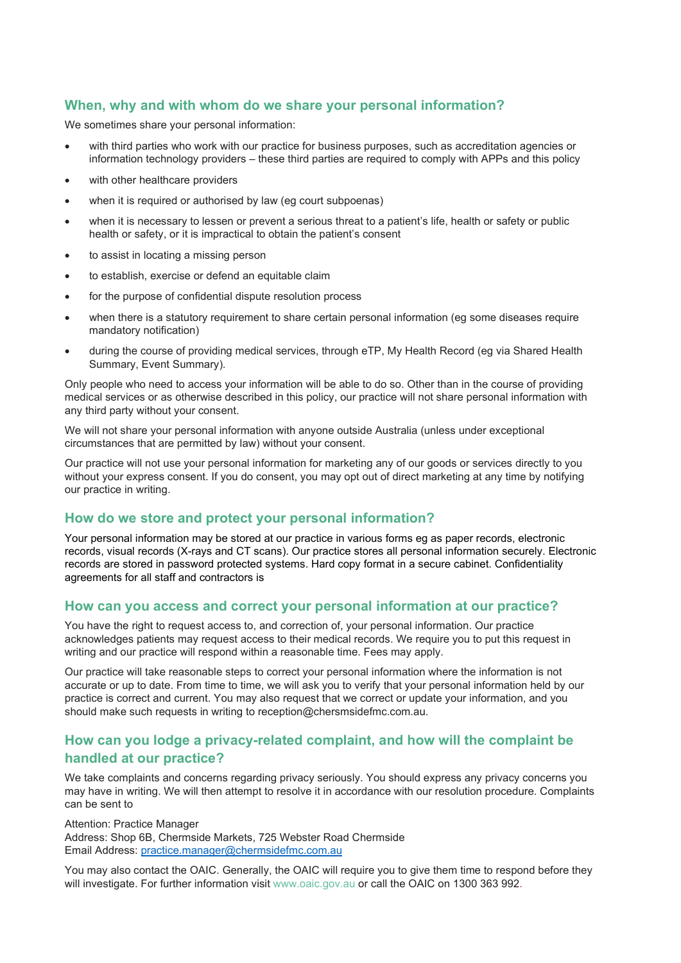# When, why and with whom do we share your personal information?

We sometimes share your personal information:

- with third parties who work with our practice for business purposes, such as accreditation agencies or information technology providers – these third parties are required to comply with APPs and this policy
- with other healthcare providers
- when it is required or authorised by law (eg court subpoenas)
- when it is necessary to lessen or prevent a serious threat to a patient's life, health or safety or public health or safety, or it is impractical to obtain the patient's consent
- to assist in locating a missing person
- to establish, exercise or defend an equitable claim
- for the purpose of confidential dispute resolution process
- when there is a statutory requirement to share certain personal information (eg some diseases require mandatory notification)
- during the course of providing medical services, through eTP, My Health Record (eg via Shared Health Summary, Event Summary).

Only people who need to access your information will be able to do so. Other than in the course of providing medical services or as otherwise described in this policy, our practice will not share personal information with any third party without your consent.

We will not share your personal information with anyone outside Australia (unless under exceptional circumstances that are permitted by law) without your consent.

Our practice will not use your personal information for marketing any of our goods or services directly to you without your express consent. If you do consent, you may opt out of direct marketing at any time by notifying our practice in writing.

#### How do we store and protect your personal information?

Your personal information may be stored at our practice in various forms eg as paper records, electronic records, visual records (X-rays and CT scans). Our practice stores all personal information securely. Electronic records are stored in password protected systems. Hard copy format in a secure cabinet. Confidentiality agreements for all staff and contractors is

#### How can you access and correct your personal information at our practice?

You have the right to request access to, and correction of, your personal information. Our practice acknowledges patients may request access to their medical records. We require you to put this request in writing and our practice will respond within a reasonable time. Fees may apply.

Our practice will take reasonable steps to correct your personal information where the information is not accurate or up to date. From time to time, we will ask you to verify that your personal information held by our practice is correct and current. You may also request that we correct or update your information, and you should make such requests in writing to reception@chersmsidefmc.com.au.

# How can you lodge a privacy-related complaint, and how will the complaint be handled at our practice?

We take complaints and concerns regarding privacy seriously. You should express any privacy concerns you may have in writing. We will then attempt to resolve it in accordance with our resolution procedure. Complaints can be sent to

#### Attention: Practice Manager

Address: Shop 6B, Chermside Markets, 725 Webster Road Chermside Email Address: practice.manager@chermsidefmc.com.au

You may also contact the OAIC. Generally, the OAIC will require you to give them time to respond before they will investigate. For further information visit www.oaic.gov.au or call the OAIC on 1300 363 992.